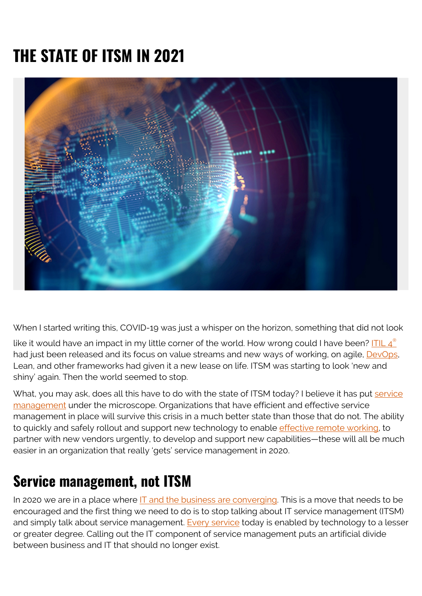# **THE STATE OF ITSM IN 2021**



When I started writing this, COVID-19 was just a whisper on the horizon, something that did not look

like it would have an impact in my little corner of the world. How wrong could I have been? ITIL  $4^{\circ}$ had just been released and its focus on value streams and new ways of working, on agile, **DevOps**, Lean, and other frameworks had given it a new lease on life. ITSM was starting to look 'new and shiny' again. Then the world seemed to stop.

What, you may ask, does all this have to do with the state of ITSM today? I believe it has put [service](https://blogs.bmc.com/blogs/itsm-or-itil-that-isnt-the-question/) [management](https://blogs.bmc.com/blogs/itsm-or-itil-that-isnt-the-question/) under the microscope. Organizations that have efficient and effective service management in place will survive this crisis in a much better state than those that do not. The ability to quickly and safely rollout and support new technology to enable [effective remote working](https://blogs.bmc.com/blogs/remote-working/), to partner with new vendors urgently, to develop and support new capabilities—these will all be much easier in an organization that really 'gets' service management in 2020.

#### **Service management, not ITSM**

In 2020 we are in a place where  $IT$  and the business are converging. This is a move that needs to be encouraged and the first thing we need to do is to stop talking about IT service management (ITSM) and simply talk about service management. [Every service](https://blogs.bmc.com/blogs/it-service/) today is enabled by technology to a lesser or greater degree. Calling out the IT component of service management puts an artificial divide between business and IT that should no longer exist.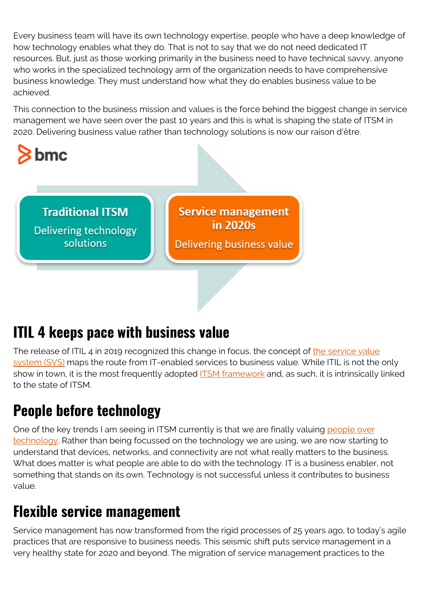Every business team will have its own technology expertise, people who have a deep knowledge of how technology enables what they do. That is not to say that we do not need dedicated IT resources. But, just as those working primarily in the business need to have technical savvy, anyone who works in the specialized technology arm of the organization needs to have comprehensive business knowledge. They must understand how what they do enables business value to be achieved.

This connection to the business mission and values is the force behind the biggest change in service management we have seen over the past 10 years and this is what is shaping the state of ITSM in 2020. Delivering business value rather than technology solutions is now our raison d'être.



**Traditional ITSM Delivering technology** solutions

**Service management** in 2020s Delivering business value

## **ITIL 4 keeps pace with business value**

The release of ITIL 4 in 2019 recognized this change in focus, the concept of [the service value](https://blogs.bmc.com/blogs/itil-service-value-system/) [system \(SVS\)](https://blogs.bmc.com/blogs/itil-service-value-system/) maps the route from IT-enabled services to business value. While ITIL is not the only show in town, it is the most frequently adopted **ITSM** framework and, as such, it is intrinsically linked to the state of ITSM.

## **People before technology**

One of the key trends I am seeing in ITSM currently is that we are finally valuing [people over](https://blogs.bmc.com/blogs/people-process-technology/) [technology.](https://blogs.bmc.com/blogs/people-process-technology/) Rather than being focussed on the technology we are using, we are now starting to understand that devices, networks, and connectivity are not what really matters to the business. What does matter is what people are able to do with the technology. IT is a business enabler, not something that stands on its own. Technology is not successful unless it contributes to business value.

## **Flexible service management**

Service management has now transformed from the rigid processes of 25 years ago, to today's agile practices that are responsive to business needs. This seismic shift puts service management in a very healthy state for 2020 and beyond. The migration of service management practices to the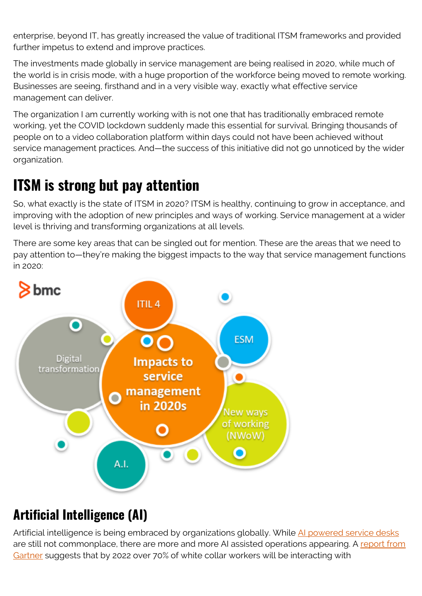enterprise, beyond IT, has greatly increased the value of traditional ITSM frameworks and provided further impetus to extend and improve practices.

The investments made globally in service management are being realised in 2020, while much of the world is in crisis mode, with a huge proportion of the workforce being moved to remote working. Businesses are seeing, firsthand and in a very visible way, exactly what effective service management can deliver.

The organization I am currently working with is not one that has traditionally embraced remote working, yet the COVID lockdown suddenly made this essential for survival. Bringing thousands of people on to a video collaboration platform within days could not have been achieved without service management practices. And—the success of this initiative did not go unnoticed by the wider organization.

### **ITSM is strong but pay attention**

So, what exactly is the state of ITSM in 2020? ITSM is healthy, continuing to grow in acceptance, and improving with the adoption of new principles and ways of working. Service management at a wider level is thriving and transforming organizations at all levels.

There are some key areas that can be singled out for mention. These are the areas that we need to pay attention to—they're making the biggest impacts to the way that service management functions in 2020:



#### **Artificial Intelligence (AI)**

Artificial intelligence is being embraced by organizations globally. While [AI powered service desks](https://blogs.bmc.com/blogs/aiops-itsm-service-desk/) are still not commonplace, there are more and more AI assisted operations appearing. A [report from](https://www.gartner.com/smarterwithgartner/chatbots-will-appeal-to-modern-workers/) [Gartner](https://www.gartner.com/smarterwithgartner/chatbots-will-appeal-to-modern-workers/) suggests that by 2022 over 70% of white collar workers will be interacting with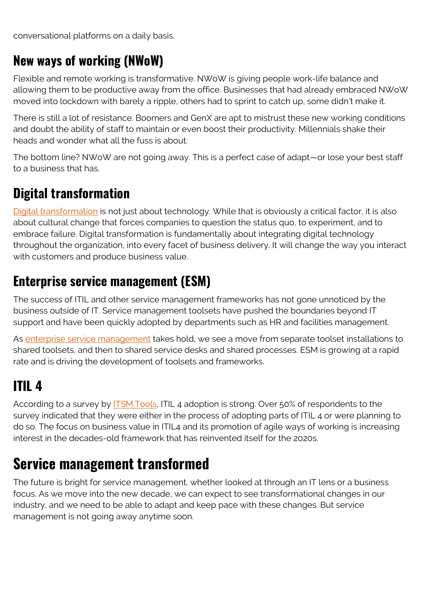conversational platforms on a daily basis.

#### **New ways of working (NWoW)**

Flexible and remote working is transformative. NWoW is giving people work-life balance and allowing them to be productive away from the office. Businesses that had already embraced NWoW moved into lockdown with barely a ripple, others had to sprint to catch up, some didn't make it.

There is still a lot of resistance. Boomers and GenX are apt to mistrust these new working conditions and doubt the ability of staff to maintain or even boost their productivity. Millennials shake their heads and wonder what all the fuss is about.

The bottom line? NWoW are not going away. This is a perfect case of adapt—or lose your best staff to a business that has.

#### **Digital transformation**

[Digital transformation](https://blogs.bmc.com/blogs/digital-transformation-success/) is not just about technology. While that is obviously a critical factor, it is also about cultural change that forces companies to question the status quo, to experiment, and to embrace failure. Digital transformation is fundamentally about integrating digital technology throughout the organization, into every facet of business delivery. It will change the way you interact with customers and produce business value.

#### **Enterprise service management (ESM)**

The success of ITIL and other service management frameworks has not gone unnoticed by the business outside of IT. Service management toolsets have pushed the boundaries beyond IT support and have been quickly adopted by departments such as HR and facilities management.

As [enterprise service management](https://blogs.bmc.com/blogs/enterprise-service-management/) takes hold, we see a move from separate toolset installations to shared toolsets, and then to shared service desks and shared processes. ESM is growing at a rapid rate and is driving the development of toolsets and frameworks.

# **ITIL 4**

According to a survey by **ITSM.Tools**, ITIL 4 adoption is strong. Over 50% of respondents to the survey indicated that they were either in the process of adopting parts of ITIL 4 or were planning to do so. The focus on business value in ITIL4 and its promotion of agile ways of working is increasing interest in the decades-old framework that has reinvented itself for the 2020s.

### **Service management transformed**

The future is bright for service management, whether looked at through an IT lens or a business focus. As we move into the new decade, we can expect to see transformational changes in our industry, and we need to be able to adapt and keep pace with these changes. But service management is not going away anytime soon.